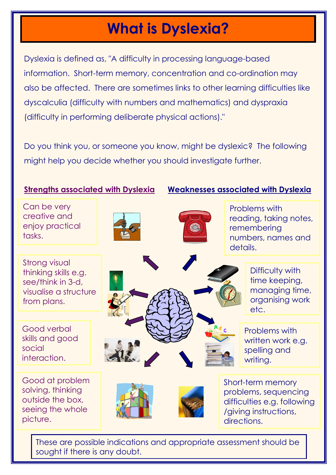## What is Dyslexia?

Dyslexia is defined as, "A difficulty in processing language-based information. Short-term memory, concentration and co-ordination may also be affected. There are sometimes links to other learning difficulties like dyscalculia (difficulty with numbers and mathematics) and dyspraxia (difficulty in performing deliberate physical actions)."

Do you think you, or someone you know, might be dyslexic? The following might help you decide whether you should investigate further.